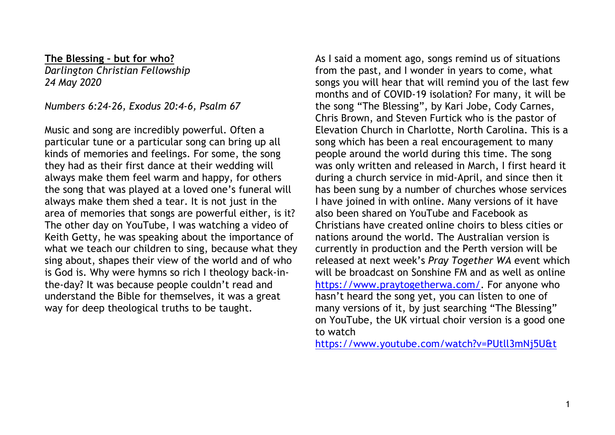**The Blessing – but for who?**

*Darlington Christian Fellowship 24 May 2020*

*Numbers 6:24-26, Exodus 20:4-6, Psalm 67*

Music and song are incredibly powerful. Often a particular tune or a particular song can bring up all kinds of memories and feelings. For some, the song they had as their first dance at their wedding will always make them feel warm and happy, for others the song that was played at a loved one's funeral will always make them shed a tear. It is not just in the area of memories that songs are powerful either, is it? The other day on YouTube, I was watching a video of Keith Getty, he was speaking about the importance of what we teach our children to sing, because what they sing about, shapes their view of the world and of who is God is. Why were hymns so rich I theology back-inthe-day? It was because people couldn't read and understand the Bible for themselves, it was a great way for deep theological truths to be taught.

As I said a moment ago, songs remind us of situations from the past, and I wonder in years to come, what songs you will hear that will remind you of the last few months and of COVID-19 isolation? For many, it will be the song "The Blessing", by Kari Jobe, Cody Carnes, Chris Brown, and Steven Furtick who is the pastor of Elevation Church in Charlotte, North Carolina. This is a song which has been a real encouragement to many people around the world during this time. The song was only written and released in March, I first heard it during a church service in mid-April, and since then it has been sung by a number of churches whose services I have joined in with online. Many versions of it have also been shared on YouTube and Facebook as Christians have created online choirs to bless cities or nations around the world. The Australian version is currently in production and the Perth version will be released at next week's *Pray Together WA* event which will be broadcast on Sonshine FM and as well as online https://www.praytogetherwa.com/. For anyone who hasn't heard the song yet, you can listen to one of many versions of it, by just searching "The Blessing" on YouTube, the UK virtual choir version is a good one to watch

https://www.youtube.com/watch?v=PUtll3mNj5U&t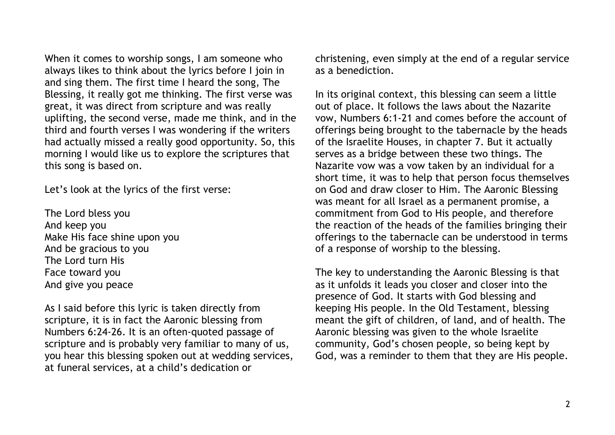When it comes to worship songs, I am someone who always likes to think about the lyrics before I join in and sing them. The first time I heard the song, The Blessing, it really got me thinking. The first verse was great, it was direct from scripture and was really uplifting, the second verse, made me think, and in the third and fourth verses I was wondering if the writers had actually missed a really good opportunity. So, this morning I would like us to explore the scriptures that this song is based on.

Let's look at the lyrics of the first verse:

The Lord bless you And keep you Make His face shine upon you And be gracious to you The Lord turn His Face toward you And give you peace

As I said before this lyric is taken directly from scripture, it is in fact the Aaronic blessing from Numbers 6:24-26. It is an often-quoted passage of scripture and is probably very familiar to many of us, you hear this blessing spoken out at wedding services, at funeral services, at a child's dedication or

christening, even simply at the end of a regular service as a benediction.

In its original context, this blessing can seem a little out of place. It follows the laws about the Nazarite vow, Numbers 6:1-21 and comes before the account of offerings being brought to the tabernacle by the heads of the Israelite Houses, in chapter 7. But it actually serves as a bridge between these two things. The Nazarite vow was a vow taken by an individual for a short time, it was to help that person focus themselves on God and draw closer to Him. The Aaronic Blessing was meant for all Israel as a permanent promise, a commitment from God to His people, and therefore the reaction of the heads of the families bringing their offerings to the tabernacle can be understood in terms of a response of worship to the blessing.

The key to understanding the Aaronic Blessing is that as it unfolds it leads you closer and closer into the presence of God. It starts with God blessing and keeping His people. In the Old Testament, blessing meant the gift of children, of land, and of health. The Aaronic blessing was given to the whole Israelite community, God's chosen people, so being kept by God, was a reminder to them that they are His people.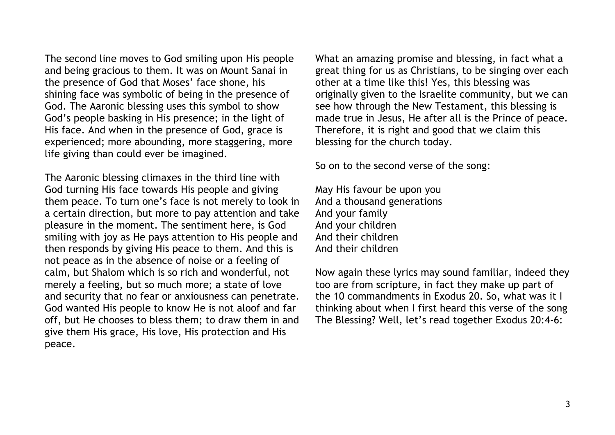The second line moves to God smiling upon His people and being gracious to them. It was on Mount Sanai in the presence of God that Moses' face shone, his shining face was symbolic of being in the presence of God. The Aaronic blessing uses this symbol to show God's people basking in His presence; in the light of His face. And when in the presence of God, grace is experienced; more abounding, more staggering, more life giving than could ever be imagined.

The Aaronic blessing climaxes in the third line with God turning His face towards His people and giving them peace. To turn one's face is not merely to look in a certain direction, but more to pay attention and take pleasure in the moment. The sentiment here, is God smiling with joy as He pays attention to His people and then responds by giving His peace to them. And this is not peace as in the absence of noise or a feeling of calm, but Shalom which is so rich and wonderful, not merely a feeling, but so much more; a state of love and security that no fear or anxiousness can penetrate. God wanted His people to know He is not aloof and far off, but He chooses to bless them; to draw them in and give them His grace, His love, His protection and His peace.

What an amazing promise and blessing, in fact what a great thing for us as Christians, to be singing over each other at a time like this! Yes, this blessing was originally given to the Israelite community, but we can see how through the New Testament, this blessing is made true in Jesus, He after all is the Prince of peace. Therefore, it is right and good that we claim this blessing for the church today.

So on to the second verse of the song:

May His favour be upon you And a thousand generations And your family And your children And their children And their children

Now again these lyrics may sound familiar, indeed they too are from scripture, in fact they make up part of the 10 commandments in Exodus 20. So, what was it I thinking about when I first heard this verse of the song The Blessing? Well, let's read together Exodus 20:4-6: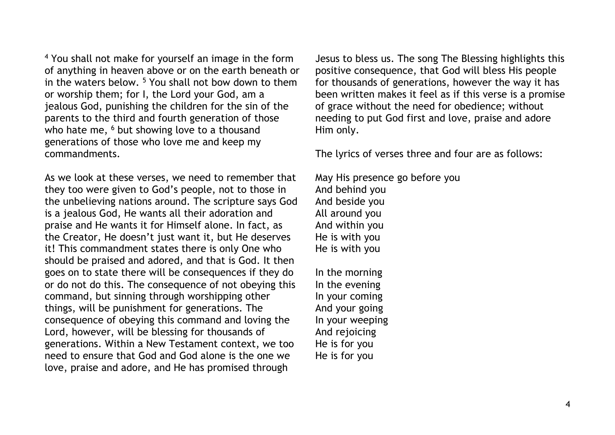<sup>4</sup> You shall not make for yourself an image in the form of anything in heaven above or on the earth beneath or in the waters below.  $5$  You shall not bow down to them or worship them; for I, the Lord your God, am a jealous God, punishing the children for the sin of the parents to the third and fourth generation of those who hate me, <sup>6</sup> but showing love to a thousand generations of those who love me and keep my commandments.

As we look at these verses, we need to remember that they too were given to God's people, not to those in the unbelieving nations around. The scripture says God is a jealous God, He wants all their adoration and praise and He wants it for Himself alone. In fact, as the Creator, He doesn't just want it, but He deserves it! This commandment states there is only One who should be praised and adored, and that is God. It then goes on to state there will be consequences if they do or do not do this. The consequence of not obeying this command, but sinning through worshipping other things, will be punishment for generations. The consequence of obeying this command and loving the Lord, however, will be blessing for thousands of generations. Within a New Testament context, we too need to ensure that God and God alone is the one we love, praise and adore, and He has promised through

Jesus to bless us. The song The Blessing highlights this positive consequence, that God will bless His people for thousands of generations, however the way it has been written makes it feel as if this verse is a promise of grace without the need for obedience; without needing to put God first and love, praise and adore Him only.

The lyrics of verses three and four are as follows:

May His presence go before you And behind you And beside you All around you And within you He is with you He is with you

In the morning In the evening In your coming And your going In your weeping And rejoicing He is for you He is for you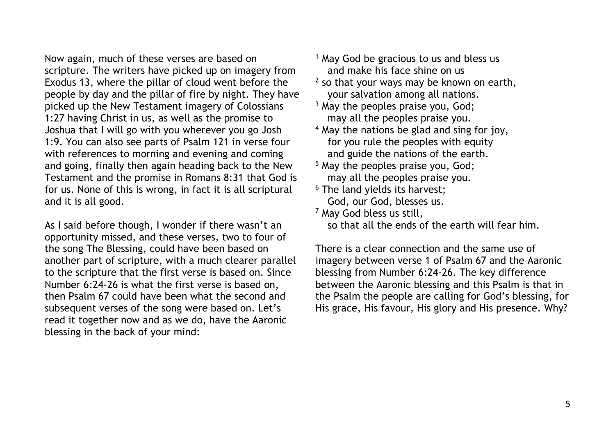Now again, much of these verses are based on scripture. The writers have picked up on imagery from Exodus 13, where the pillar of cloud went before the people by day and the pillar of fire by night. They have picked up the New Testament imagery of Colossians 1:27 having Christ in us, as well as the promise to Joshua that I will go with you wherever you go Josh 1:9. You can also see parts of Psalm 121 in verse four with references to morning and evening and coming and going, finally then again heading back to the New Testament and the promise in Romans 8:31 that God is for us. None of this is wrong, in fact it is all scriptural and it is all good.

As I said before though, I wonder if there wasn't an opportunity missed, and these verses, two to four of the song The Blessing, could have been based on another part of scripture, with a much clearer parallel to the scripture that the first verse is based on. Since Number 6:24-26 is what the first verse is based on, then Psalm 67 could have been what the second and subsequent verses of the song were based on. Let's read it together now and as we do, have the Aaronic blessing in the back of your mind:

- $<sup>1</sup>$  May God be gracious to us and bless us</sup> and make his face shine on us
- $2$  so that your ways may be known on earth, your salvation among all nations.
- <sup>3</sup> May the peoples praise you, God; may all the peoples praise you.
- <sup>4</sup> May the nations be glad and sing for joy, for you rule the peoples with equity and guide the nations of the earth.
- <sup>5</sup> May the peoples praise you, God; may all the peoples praise you.
- <sup>6</sup> The land yields its harvest; God, our God, blesses us.

<sup>7</sup> May God bless us still,

so that all the ends of the earth will fear him.

There is a clear connection and the same use of imagery between verse 1 of Psalm 67 and the Aaronic blessing from Number 6:24-26. The key difference between the Aaronic blessing and this Psalm is that in the Psalm the people are calling for God's blessing, for His grace, His favour, His glory and His presence. Why?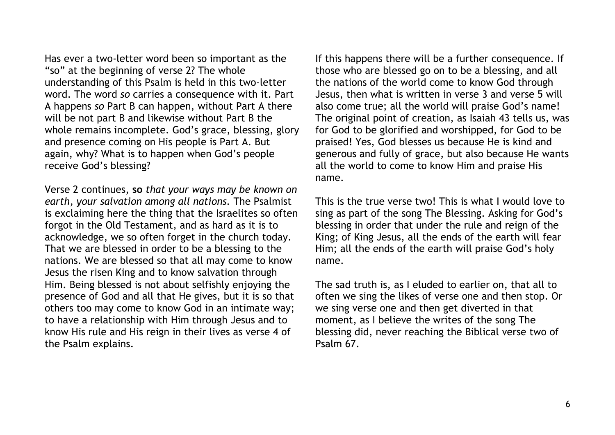Has ever a two-letter word been so important as the "so" at the beginning of verse 2? The whole understanding of this Psalm is held in this two-letter word. The word *so* carries a consequence with it. Part A happens *so* Part B can happen, without Part A there will be not part B and likewise without Part B the whole remains incomplete. God's grace, blessing, glory and presence coming on His people is Part A. But again, why? What is to happen when God's people receive God's blessing?

Verse 2 continues, **so** *that your ways may be known on earth, your salvation among all nations.* The Psalmist is exclaiming here the thing that the Israelites so often forgot in the Old Testament, and as hard as it is to acknowledge, we so often forget in the church today. That we are blessed in order to be a blessing to the nations. We are blessed so that all may come to know Jesus the risen King and to know salvation through Him. Being blessed is not about selfishly enjoying the presence of God and all that He gives, but it is so that others too may come to know God in an intimate way; to have a relationship with Him through Jesus and to know His rule and His reign in their lives as verse 4 of the Psalm explains.

If this happens there will be a further consequence. If those who are blessed go on to be a blessing, and all the nations of the world come to know God through Jesus, then what is written in verse 3 and verse 5 will also come true; all the world will praise God's name! The original point of creation, as Isaiah 43 tells us, was for God to be glorified and worshipped, for God to be praised! Yes, God blesses us because He is kind and generous and fully of grace, but also because He wants all the world to come to know Him and praise His name.

This is the true verse two! This is what I would love to sing as part of the song The Blessing. Asking for God's blessing in order that under the rule and reign of the King; of King Jesus, all the ends of the earth will fear Him; all the ends of the earth will praise God's holy name.

The sad truth is, as I eluded to earlier on, that all to often we sing the likes of verse one and then stop. Or we sing verse one and then get diverted in that moment, as I believe the writes of the song The blessing did, never reaching the Biblical verse two of Psalm 67.